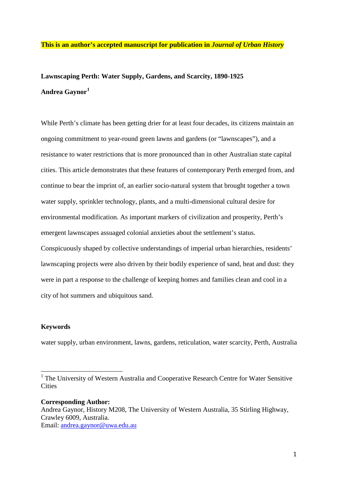### **This is an author's accepted manuscript for publication in** *Journal of Urban History*

# **Lawnscaping Perth: Water Supply, Gardens, and Scarcity, 1890-1925 Andrea Gaynor[1](#page-0-0)**

While Perth's climate has been getting drier for at least four decades, its citizens maintain an ongoing commitment to year-round green lawns and gardens (or "lawnscapes"), and a resistance to water restrictions that is more pronounced than in other Australian state capital cities. This article demonstrates that these features of contemporary Perth emerged from, and continue to bear the imprint of, an earlier socio-natural system that brought together a town water supply, sprinkler technology, plants, and a multi-dimensional cultural desire for environmental modification. As important markers of civilization and prosperity, Perth's emergent lawnscapes assuaged colonial anxieties about the settlement's status. Conspicuously shaped by collective understandings of imperial urban hierarchies, residents' lawnscaping projects were also driven by their bodily experience of sand, heat and dust: they were in part a response to the challenge of keeping homes and families clean and cool in a city of hot summers and ubiquitous sand.

#### **Keywords**

water supply, urban environment, lawns, gardens, reticulation, water scarcity, Perth, Australia

**Corresponding Author:** Andrea Gaynor, History M208, The University of Western Australia, 35 Stirling Highway, Crawley 6009, Australia. Email: [andrea.gaynor@uwa.edu.au](mailto:andrea.gaynor@uwa.edu.au) 

<span id="page-0-0"></span><sup>&</sup>lt;sup>1</sup> The University of Western Australia and Cooperative Research Centre for Water Sensitive **Cities**  $\overline{1}$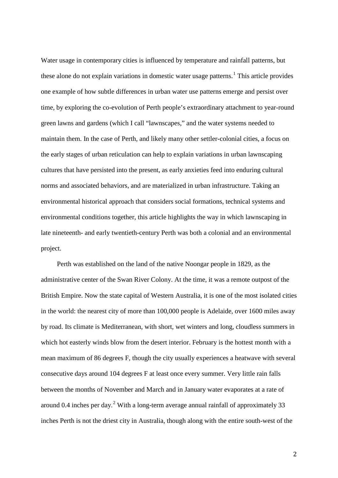Water usage in contemporary cities is influenced by temperature and rainfall patterns, but these alone do not explain variations in domestic water usage patterns.<sup>[1](#page-25-0)</sup> This article provides one example of how subtle differences in urban water use patterns emerge and persist over time, by exploring the co-evolution of Perth people's extraordinary attachment to year-round green lawns and gardens (which I call "lawnscapes," and the water systems needed to maintain them. In the case of Perth, and likely many other settler-colonial cities, a focus on the early stages of urban reticulation can help to explain variations in urban lawnscaping cultures that have persisted into the present, as early anxieties feed into enduring cultural norms and associated behaviors, and are materialized in urban infrastructure. Taking an environmental historical approach that considers social formations, technical systems and environmental conditions together, this article highlights the way in which lawnscaping in late nineteenth- and early twentieth-century Perth was both a colonial and an environmental project.

Perth was established on the land of the native Noongar people in 1829, as the administrative center of the Swan River Colony. At the time, it was a remote outpost of the British Empire. Now the state capital of Western Australia, it is one of the most isolated cities in the world: the nearest city of more than 100,000 people is Adelaide, over 1600 miles away by road. Its climate is Mediterranean, with short, wet winters and long, cloudless summers in which hot easterly winds blow from the desert interior. February is the hottest month with a mean maximum of 86 degrees F, though the city usually experiences a heatwave with several consecutive days around 104 degrees F at least once every summer. Very little rain falls between the months of November and March and in January water evaporates at a rate of around 0.4 inches per day.<sup>[2](#page-25-1)</sup> With a long-term average annual rainfall of approximately 33 inches Perth is not the driest city in Australia, though along with the entire south-west of the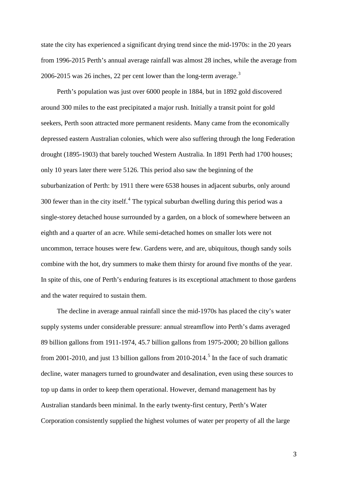state the city has experienced a significant drying trend since the mid-1970s: in the 20 years from 1996-2015 Perth's annual average rainfall was almost 28 inches, while the average from 2006-2015 was 26 inches, 22 per cent lower than the long-term average. $3$ 

Perth's population was just over 6000 people in 1884, but in 1892 gold discovered around 300 miles to the east precipitated a major rush. Initially a transit point for gold seekers, Perth soon attracted more permanent residents. Many came from the economically depressed eastern Australian colonies, which were also suffering through the long Federation drought (1895-1903) that barely touched Western Australia. In 1891 Perth had 1700 houses; only 10 years later there were 5126. This period also saw the beginning of the suburbanization of Perth: by 1911 there were 6538 houses in adjacent suburbs, only around 300 fewer than in the city itself. $4$  The typical suburban dwelling during this period was a single-storey detached house surrounded by a garden, on a block of somewhere between an eighth and a quarter of an acre. While semi-detached homes on smaller lots were not uncommon, terrace houses were few. Gardens were, and are, ubiquitous, though sandy soils combine with the hot, dry summers to make them thirsty for around five months of the year. In spite of this, one of Perth's enduring features is its exceptional attachment to those gardens and the water required to sustain them.

The decline in average annual rainfall since the mid-1970s has placed the city's water supply systems under considerable pressure: annual streamflow into Perth's dams averaged 89 billion gallons from 1911-1974, 45.7 billion gallons from 1975-2000; 20 billion gallons from 2001-2010, and just 13 billion gallons from 2010-2014.<sup>[5](#page-26-2)</sup> In the face of such dramatic decline, water managers turned to groundwater and desalination, even using these sources to top up dams in order to keep them operational. However, demand management has by Australian standards been minimal. In the early twenty-first century, Perth's Water Corporation consistently supplied the highest volumes of water per property of all the large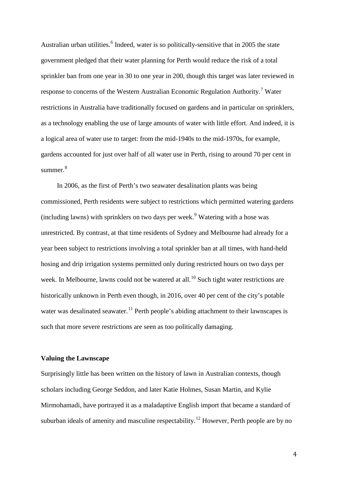Australian urban utilities.<sup>[6](#page-27-0)</sup> Indeed, water is so politically-sensitive that in 2005 the state government pledged that their water planning for Perth would reduce the risk of a total sprinkler ban from one year in 30 to one year in 200, though this target was later reviewed in response to concerns of the Western Australian Economic Regulation Authority.[7](#page-27-1) Water restrictions in Australia have traditionally focused on gardens and in particular on sprinklers, as a technology enabling the use of large amounts of water with little effort. And indeed, it is a logical area of water use to target: from the mid-1940s to the mid-1970s, for example, gardens accounted for just over half of all water use in Perth, rising to around 70 per cent in summer.<sup>[8](#page-27-2)</sup>

In 2006, as the first of Perth's two seawater desalination plants was being commissioned, Perth residents were subject to restrictions which permitted watering gardens (including lawns) with sprinklers on two days per week.<sup>[9](#page-27-3)</sup> Watering with a hose was unrestricted. By contrast, at that time residents of Sydney and Melbourne had already for a year been subject to restrictions involving a total sprinkler ban at all times, with hand-held hosing and drip irrigation systems permitted only during restricted hours on two days per week. In Melbourne, lawns could not be watered at all.<sup>[10](#page-27-4)</sup> Such tight water restrictions are historically unknown in Perth even though, in 2016, over 40 per cent of the city's potable water was desalinated seawater.<sup>[11](#page-27-5)</sup> Perth people's abiding attachment to their lawnscapes is such that more severe restrictions are seen as too politically damaging.

## **Valuing the Lawnscape**

Surprisingly little has been written on the history of lawn in Australian contexts, though scholars including George Seddon, and later Katie Holmes, Susan Martin, and Kylie Mirmohamadi, have portrayed it as a maladaptive English import that became a standard of suburban ideals of amenity and masculine respectability.<sup>[12](#page-27-6)</sup> However, Perth people are by no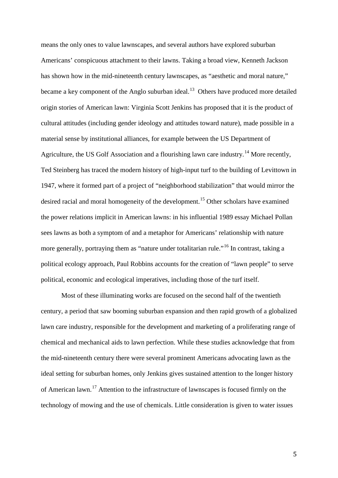means the only ones to value lawnscapes, and several authors have explored suburban Americans' conspicuous attachment to their lawns. Taking a broad view, Kenneth Jackson has shown how in the mid-nineteenth century lawnscapes, as "aesthetic and moral nature," became a key component of the Anglo suburban ideal.<sup>[13](#page-28-0)</sup> Others have produced more detailed origin stories of American lawn: Virginia Scott Jenkins has proposed that it is the product of cultural attitudes (including gender ideology and attitudes toward nature), made possible in a material sense by institutional alliances, for example between the US Department of Agriculture, the US Golf Association and a flourishing lawn care industry.<sup>[14](#page-28-1)</sup> More recently, Ted Steinberg has traced the modern history of high-input turf to the building of Levittown in 1947, where it formed part of a project of "neighborhood stabilization" that would mirror the desired racial and moral homogeneity of the development.<sup>[15](#page-28-2)</sup> Other scholars have examined the power relations implicit in American lawns: in his influential 1989 essay Michael Pollan sees lawns as both a symptom of and a metaphor for Americans' relationship with nature more generally, portraying them as "nature under totalitarian rule."<sup>[16](#page-28-3)</sup> In contrast, taking a political ecology approach, Paul Robbins accounts for the creation of "lawn people" to serve political, economic and ecological imperatives, including those of the turf itself.

Most of these illuminating works are focused on the second half of the twentieth century, a period that saw booming suburban expansion and then rapid growth of a globalized lawn care industry, responsible for the development and marketing of a proliferating range of chemical and mechanical aids to lawn perfection. While these studies acknowledge that from the mid-nineteenth century there were several prominent Americans advocating lawn as the ideal setting for suburban homes, only Jenkins gives sustained attention to the longer history of American lawn.[17](#page-28-4) Attention to the infrastructure of lawnscapes is focused firmly on the technology of mowing and the use of chemicals. Little consideration is given to water issues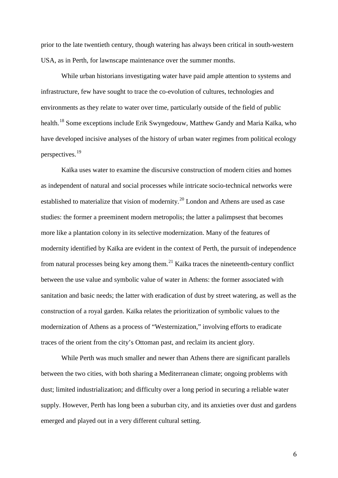prior to the late twentieth century, though watering has always been critical in south-western USA, as in Perth, for lawnscape maintenance over the summer months.

While urban historians investigating water have paid ample attention to systems and infrastructure, few have sought to trace the co-evolution of cultures, technologies and environments as they relate to water over time, particularly outside of the field of public health.<sup>[18](#page-29-0)</sup> Some exceptions include Erik Swyngedouw, Matthew Gandy and Maria Kaïka, who have developed incisive analyses of the history of urban water regimes from political ecology perspectives.[19](#page-29-1)

Kaïka uses water to examine the discursive construction of modern cities and homes as independent of natural and social processes while intricate socio-technical networks were established to materialize that vision of modernity.<sup>[20](#page-29-2)</sup> London and Athens are used as case studies: the former a preeminent modern metropolis; the latter a palimpsest that becomes more like a plantation colony in its selective modernization. Many of the features of modernity identified by Kaïka are evident in the context of Perth, the pursuit of independence from natural processes being key among them.<sup>[21](#page-29-3)</sup> Kaïka traces the nineteenth-century conflict between the use value and symbolic value of water in Athens: the former associated with sanitation and basic needs; the latter with eradication of dust by street watering, as well as the construction of a royal garden. Kaïka relates the prioritization of symbolic values to the modernization of Athens as a process of "Westernization," involving efforts to eradicate traces of the orient from the city's Ottoman past, and reclaim its ancient glory.

While Perth was much smaller and newer than Athens there are significant parallels between the two cities, with both sharing a Mediterranean climate; ongoing problems with dust; limited industrialization; and difficulty over a long period in securing a reliable water supply. However, Perth has long been a suburban city, and its anxieties over dust and gardens emerged and played out in a very different cultural setting.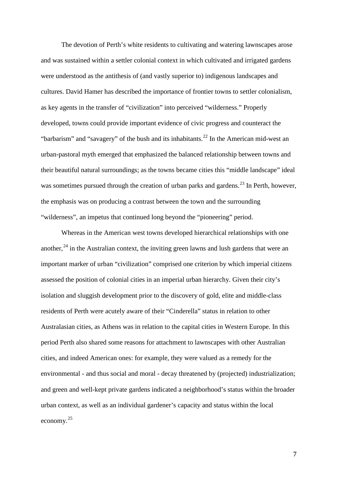The devotion of Perth's white residents to cultivating and watering lawnscapes arose and was sustained within a settler colonial context in which cultivated and irrigated gardens were understood as the antithesis of (and vastly superior to) indigenous landscapes and cultures. David Hamer has described the importance of frontier towns to settler colonialism, as key agents in the transfer of "civilization" into perceived "wilderness." Properly developed, towns could provide important evidence of civic progress and counteract the "barbarism" and "savagery" of the bush and its inhabitants.<sup>[22](#page-30-0)</sup> In the American mid-west an urban-pastoral myth emerged that emphasized the balanced relationship between towns and their beautiful natural surroundings; as the towns became cities this "middle landscape" ideal was sometimes pursued through the creation of urban parks and gardens.<sup>[23](#page-30-1)</sup> In Perth, however, the emphasis was on producing a contrast between the town and the surrounding "wilderness", an impetus that continued long beyond the "pioneering" period.

Whereas in the American west towns developed hierarchical relationships with one another,  $24$  in the Australian context, the inviting green lawns and lush gardens that were an important marker of urban "civilization" comprised one criterion by which imperial citizens assessed the position of colonial cities in an imperial urban hierarchy. Given their city's isolation and sluggish development prior to the discovery of gold, elite and middle-class residents of Perth were acutely aware of their "Cinderella" status in relation to other Australasian cities, as Athens was in relation to the capital cities in Western Europe. In this period Perth also shared some reasons for attachment to lawnscapes with other Australian cities, and indeed American ones: for example, they were valued as a remedy for the environmental - and thus social and moral - decay threatened by (projected) industrialization; and green and well-kept private gardens indicated a neighborhood's status within the broader urban context, as well as an individual gardener's capacity and status within the local economy.[25](#page-30-3)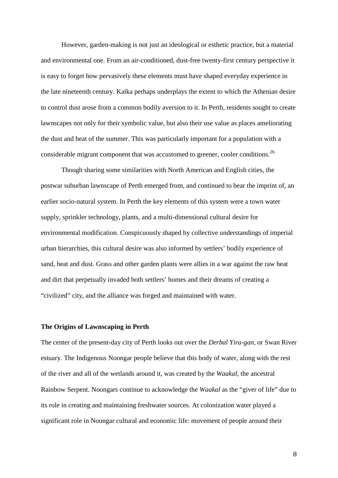However, garden-making is not just an ideological or esthetic practice, but a material and environmental one. From an air-conditioned, dust-free twenty-first century perspective it is easy to forget how pervasively these elements must have shaped everyday experience in the late nineteenth century. Kaïka perhaps underplays the extent to which the Athenian desire to control dust arose from a common bodily aversion to it. In Perth, residents sought to create lawnscapes not only for their symbolic value, but also their use value as places ameliorating the dust and heat of the summer. This was particularly important for a population with a considerable migrant component that was accustomed to greener, cooler conditions.<sup>[26](#page-31-0)</sup>

Though sharing some similarities with North American and English cities, the postwar suburban lawnscape of Perth emerged from, and continued to bear the imprint of, an earlier socio-natural system. In Perth the key elements of this system were a town water supply, sprinkler technology, plants, and a multi-dimensional cultural desire for environmental modification. Conspicuously shaped by collective understandings of imperial urban hierarchies, this cultural desire was also informed by settlers' bodily experience of sand, heat and dust. Grass and other garden plants were allies in a war against the raw heat and dirt that perpetually invaded both settlers' homes and their dreams of creating a "civilized" city, and the alliance was forged and maintained with water.

#### **The Origins of Lawnscaping in Perth**

The center of the present-day city of Perth looks out over the *Derbal Yira-gan,* or Swan River estuary. The Indigenous Noongar people believe that this body of water, along with the rest of the river and all of the wetlands around it, was created by the *Waakal*, the ancestral Rainbow Serpent. Noongars continue to acknowledge the *Waakal* as the "giver of life" due to its role in creating and maintaining freshwater sources. At colonization water played a significant role in Noongar cultural and economic life: movement of people around their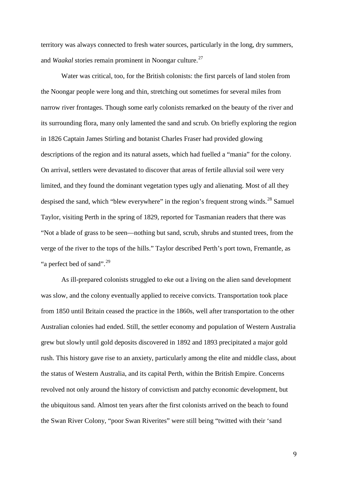territory was always connected to fresh water sources, particularly in the long, dry summers, and *Waakal* stories remain prominent in Noongar culture.<sup>[27](#page-32-0)</sup>

Water was critical, too, for the British colonists: the first parcels of land stolen from the Noongar people were long and thin, stretching out sometimes for several miles from narrow river frontages. Though some early colonists remarked on the beauty of the river and its surrounding flora, many only lamented the sand and scrub. On briefly exploring the region in 1826 Captain James Stirling and botanist Charles Fraser had provided glowing descriptions of the region and its natural assets, which had fuelled a "mania" for the colony. On arrival, settlers were devastated to discover that areas of fertile alluvial soil were very limited, and they found the dominant vegetation types ugly and alienating. Most of all they despised the sand, which "blew everywhere" in the region's frequent strong winds.<sup>[28](#page-32-1)</sup> Samuel Taylor, visiting Perth in the spring of 1829, reported for Tasmanian readers that there was "Not a blade of grass to be seen—nothing but sand, scrub, shrubs and stunted trees, from the verge of the river to the tops of the hills." Taylor described Perth's port town, Fremantle, as "a perfect bed of sand".<sup>[29](#page-32-2)</sup>

As ill-prepared colonists struggled to eke out a living on the alien sand development was slow, and the colony eventually applied to receive convicts. Transportation took place from 1850 until Britain ceased the practice in the 1860s, well after transportation to the other Australian colonies had ended. Still, the settler economy and population of Western Australia grew but slowly until gold deposits discovered in 1892 and 1893 precipitated a major gold rush. This history gave rise to an anxiety, particularly among the elite and middle class, about the status of Western Australia, and its capital Perth, within the British Empire. Concerns revolved not only around the history of convictism and patchy economic development, but the ubiquitous sand. Almost ten years after the first colonists arrived on the beach to found the Swan River Colony, "poor Swan Riverites" were still being "twitted with their 'sand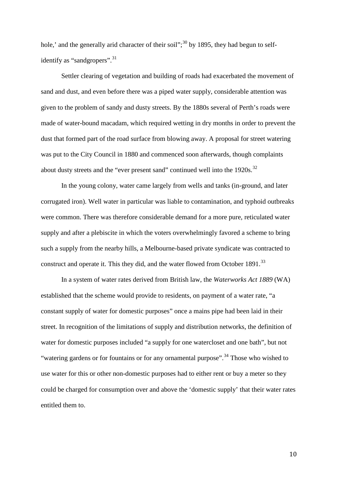hole,' and the generally arid character of their soil";<sup>[30](#page-32-3)</sup> by 1895, they had begun to self-identify as "sandgropers".<sup>[31](#page-32-4)</sup>

Settler clearing of vegetation and building of roads had exacerbated the movement of sand and dust, and even before there was a piped water supply, considerable attention was given to the problem of sandy and dusty streets. By the 1880s several of Perth's roads were made of water-bound macadam, which required wetting in dry months in order to prevent the dust that formed part of the road surface from blowing away. A proposal for street watering was put to the City Council in 1880 and commenced soon afterwards, though complaints about dusty streets and the "ever present sand" continued well into the 1920s.<sup>[32](#page-32-5)</sup>

In the young colony, water came largely from wells and tanks (in-ground, and later corrugated iron). Well water in particular was liable to contamination, and typhoid outbreaks were common. There was therefore considerable demand for a more pure, reticulated water supply and after a plebiscite in which the voters overwhelmingly favored a scheme to bring such a supply from the nearby hills, a Melbourne-based private syndicate was contracted to construct and operate it. This they did, and the water flowed from October 1891.<sup>[33](#page-32-6)</sup>

In a system of water rates derived from British law, the *Waterworks Act 1889* (WA) established that the scheme would provide to residents, on payment of a water rate, "a constant supply of water for domestic purposes" once a mains pipe had been laid in their street. In recognition of the limitations of supply and distribution networks, the definition of water for domestic purposes included "a supply for one watercloset and one bath", but not "watering gardens or for fountains or for any ornamental purpose".<sup>[34](#page-32-7)</sup> Those who wished to use water for this or other non-domestic purposes had to either rent or buy a meter so they could be charged for consumption over and above the 'domestic supply' that their water rates entitled them to.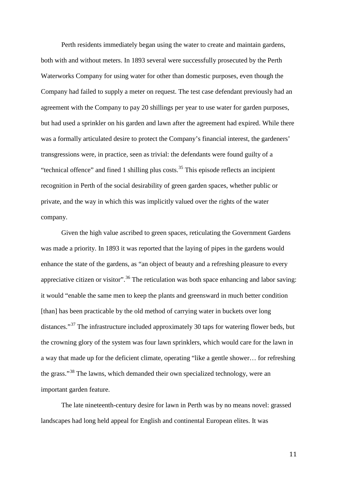Perth residents immediately began using the water to create and maintain gardens, both with and without meters. In 1893 several were successfully prosecuted by the Perth Waterworks Company for using water for other than domestic purposes, even though the Company had failed to supply a meter on request. The test case defendant previously had an agreement with the Company to pay 20 shillings per year to use water for garden purposes, but had used a sprinkler on his garden and lawn after the agreement had expired. While there was a formally articulated desire to protect the Company's financial interest, the gardeners' transgressions were, in practice, seen as trivial: the defendants were found guilty of a "technical offence" and fined 1 shilling plus costs. $35$  This episode reflects an incipient recognition in Perth of the social desirability of green garden spaces, whether public or private, and the way in which this was implicitly valued over the rights of the water company.

Given the high value ascribed to green spaces, reticulating the Government Gardens was made a priority. In 1893 it was reported that the laying of pipes in the gardens would enhance the state of the gardens, as "an object of beauty and a refreshing pleasure to every appreciative citizen or visitor".<sup>[36](#page-32-9)</sup> The reticulation was both space enhancing and labor saving: it would "enable the same men to keep the plants and greensward in much better condition [than] has been practicable by the old method of carrying water in buckets over long distances."<sup>[37](#page-32-10)</sup> The infrastructure included approximately 30 taps for watering flower beds, but the crowning glory of the system was four lawn sprinklers, which would care for the lawn in a way that made up for the deficient climate, operating "like a gentle shower… for refreshing the grass."[38](#page-32-0) The lawns, which demanded their own specialized technology, were an important garden feature.

The late nineteenth-century desire for lawn in Perth was by no means novel: grassed landscapes had long held appeal for English and continental European elites. It was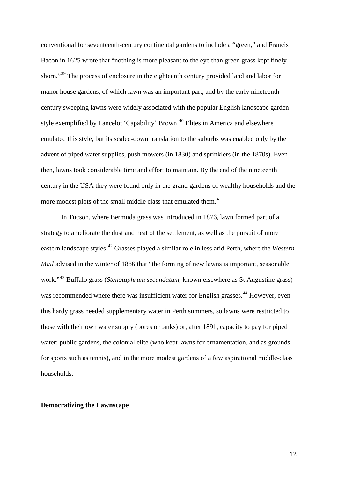conventional for seventeenth-century continental gardens to include a "green," and Francis Bacon in 1625 wrote that "nothing is more pleasant to the eye than green grass kept finely shorn."<sup>[39](#page-32-11)</sup> The process of enclosure in the eighteenth century provided land and labor for manor house gardens, of which lawn was an important part, and by the early nineteenth century sweeping lawns were widely associated with the popular English landscape garden style exemplified by Lancelot 'Capability' Brown.<sup>[40](#page-32-1)</sup> Elites in America and elsewhere emulated this style, but its scaled-down translation to the suburbs was enabled only by the advent of piped water supplies, push mowers (in 1830) and sprinklers (in the 1870s). Even then, lawns took considerable time and effort to maintain. By the end of the nineteenth century in the USA they were found only in the grand gardens of wealthy households and the more modest plots of the small middle class that emulated them.<sup>[41](#page-32-12)</sup>

In Tucson, where Bermuda grass was introduced in 1876, lawn formed part of a strategy to ameliorate the dust and heat of the settlement, as well as the pursuit of more eastern landscape styles.[42](#page-32-13) Grasses played a similar role in less arid Perth, where the *Western Mail* advised in the winter of 1886 that "the forming of new lawns is important, seasonable work."[43](#page-32-14) Buffalo grass (*Stenotaphrum secundatum*, known elsewhere as St Augustine grass) was recommended where there was insufficient water for English grasses.<sup>[44](#page-32-15)</sup> However, even this hardy grass needed supplementary water in Perth summers, so lawns were restricted to those with their own water supply (bores or tanks) or, after 1891, capacity to pay for piped water: public gardens, the colonial elite (who kept lawns for ornamentation, and as grounds for sports such as tennis), and in the more modest gardens of a few aspirational middle-class households.

#### **Democratizing the Lawnscape**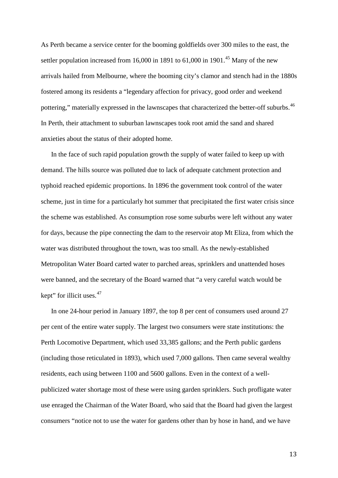As Perth became a service center for the booming goldfields over 300 miles to the east, the settler population increased from 16,000 in 1891 to  $61,000$  in 1901.<sup>[45](#page-32-16)</sup> Many of the new arrivals hailed from Melbourne, where the booming city's clamor and stench had in the 1880s fostered among its residents a "legendary affection for privacy, good order and weekend pottering," materially expressed in the lawnscapes that characterized the better-off suburbs.<sup>[46](#page-32-17)</sup> In Perth, their attachment to suburban lawnscapes took root amid the sand and shared anxieties about the status of their adopted home.

In the face of such rapid population growth the supply of water failed to keep up with demand. The hills source was polluted due to lack of adequate catchment protection and typhoid reached epidemic proportions. In 1896 the government took control of the water scheme, just in time for a particularly hot summer that precipitated the first water crisis since the scheme was established. As consumption rose some suburbs were left without any water for days, because the pipe connecting the dam to the reservoir atop Mt Eliza, from which the water was distributed throughout the town, was too small. As the newly-established Metropolitan Water Board carted water to parched areas, sprinklers and unattended hoses were banned, and the secretary of the Board warned that "a very careful watch would be kept" for illicit uses. $47$ 

In one 24-hour period in January 1897, the top 8 per cent of consumers used around 27 per cent of the entire water supply. The largest two consumers were state institutions: the Perth Locomotive Department, which used 33,385 gallons; and the Perth public gardens (including those reticulated in 1893), which used 7,000 gallons. Then came several wealthy residents, each using between 1100 and 5600 gallons. Even in the context of a wellpublicized water shortage most of these were using garden sprinklers. Such profligate water use enraged the Chairman of the Water Board, who said that the Board had given the largest consumers "notice not to use the water for gardens other than by hose in hand, and we have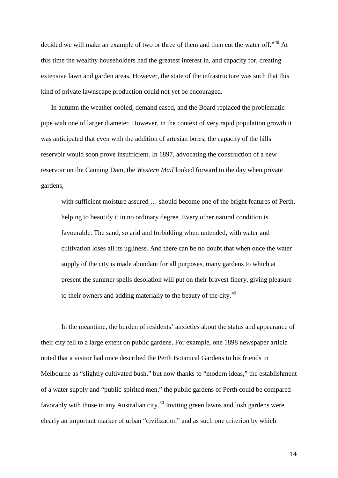decided we will make an example of two or three of them and then cut the water off."<sup>[48](#page-32-18)</sup> At this time the wealthy householders had the greatest interest in, and capacity for, creating extensive lawn and garden areas. However, the state of the infrastructure was such that this kind of private lawnscape production could not yet be encouraged.

In autumn the weather cooled, demand eased, and the Board replaced the problematic pipe with one of larger diameter. However, in the context of very rapid population growth it was anticipated that even with the addition of artesian bores, the capacity of the hills reservoir would soon prove insufficient. In 1897, advocating the construction of a new reservoir on the Canning Dam, the *Western Mail* looked forward to the day when private gardens,

with sufficient moisture assured … should become one of the bright features of Perth, helping to beautify it in no ordinary degree. Every other natural condition is favourable. The sand, so arid and forbidding when untended, with water and cultivation loses all its ugliness. And there can be no doubt that when once the water supply of the city is made abundant for all purposes, many gardens to which at present the summer spells desolation will put on their bravest finery, giving pleasure to their owners and adding materially to the beauty of the city.[49](#page-32-4)

In the meantime, the burden of residents' anxieties about the status and appearance of their city fell to a large extent on public gardens. For example, one 1898 newspaper article noted that a visitor had once described the Perth Botanical Gardens to his friends in Melbourne as "slightly cultivated bush," but now thanks to "modern ideas," the establishment of a water supply and "public-spirited men," the public gardens of Perth could be compared favorably with those in any Australian city.<sup>[50](#page-32-5)</sup> Inviting green lawns and lush gardens were clearly an important marker of urban "civilization" and as such one criterion by which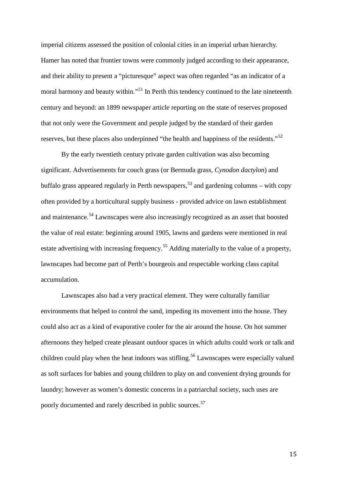imperial citizens assessed the position of colonial cities in an imperial urban hierarchy. Hamer has noted that frontier towns were commonly judged according to their appearance, and their ability to present a "picturesque" aspect was often regarded "as an indicator of a moral harmony and beauty within."<sup>[51](#page-32-19)</sup> In Perth this tendency continued to the late nineteenth century and beyond: an 1899 newspaper article reporting on the state of reserves proposed that not only were the Government and people judged by the standard of their garden reserves, but these places also underpinned "the health and happiness of the residents."<sup>[52](#page-32-6)</sup>

By the early twentieth century private garden cultivation was also becoming significant. Advertisements for couch grass (or Bermuda grass, *Cynodon dactylon*) and buffalo grass appeared regularly in Perth newspapers,<sup>[53](#page-32-20)</sup> and gardening columns – with copy often provided by a horticultural supply business - provided advice on lawn establishment and maintenance.<sup>[54](#page-32-7)</sup> Lawnscapes were also increasingly recognized as an asset that boosted the value of real estate: beginning around 1905, lawns and gardens were mentioned in real estate advertising with increasing frequency.<sup>[55](#page-32-9)</sup> Adding materially to the value of a property, lawnscapes had become part of Perth's bourgeois and respectable working class capital accumulation.

Lawnscapes also had a very practical element. They were culturally familiar environments that helped to control the sand, impeding its movement into the house. They could also act as a kind of evaporative cooler for the air around the house. On hot summer afternoons they helped create pleasant outdoor spaces in which adults could work or talk and children could play when the heat indoors was stifling.<sup>[56](#page-32-0)</sup> Lawnscapes were especially valued as soft surfaces for babies and young children to play on and convenient drying grounds for laundry; however as women's domestic concerns in a patriarchal society, such uses are poorly documented and rarely described in public sources.<sup>[57](#page-32-13)</sup>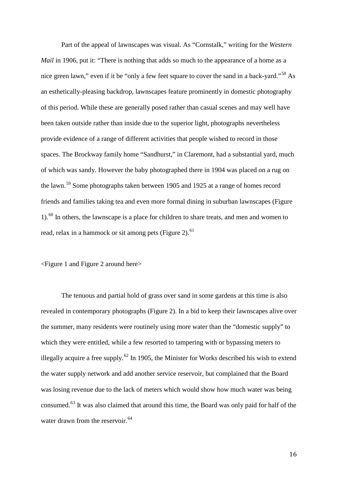Part of the appeal of lawnscapes was visual. As "Cornstalk," writing for the *Western Mail* in 1906, put it: "There is nothing that adds so much to the appearance of a home as a nice green lawn," even if it be "only a few feet square to cover the sand in a back-yard."<sup>[58](#page-32-21)</sup> As an esthetically-pleasing backdrop, lawnscapes feature prominently in domestic photography of this period. While these are generally posed rather than casual scenes and may well have been taken outside rather than inside due to the superior light, photographs nevertheless provide evidence of a range of different activities that people wished to record in those spaces. The Brockway family home "Sandhurst," in Claremont, had a substantial yard, much of which was sandy. However the baby photographed there in 1904 was placed on a rug on the lawn.[59](#page-32-14) Some photographs taken between 1905 and 1925 at a range of homes record friends and families taking tea and even more formal dining in suburban lawnscapes (Figure  $1$ .<sup>[60](#page-32-5)</sup> In others, the lawnscape is a place for children to share treats, and men and women to read, relax in a hammock or sit among pets (Figure 2). $61$ 

<Figure 1 and Figure 2 around here>

The tenuous and partial hold of grass over sand in some gardens at this time is also revealed in contemporary photographs (Figure 2). In a bid to keep their lawnscapes alive over the summer, many residents were routinely using more water than the "domestic supply" to which they were entitled, while a few resorted to tampering with or bypassing meters to illegally acquire a free supply.<sup>[62](#page-32-1)</sup> In 1905, the Minister for Works described his wish to extend the water supply network and add another service reservoir, but complained that the Board was losing revenue due to the lack of meters which would show how much water was being consumed.[63](#page-32-21) It was also claimed that around this time, the Board was only paid for half of the water drawn from the reservoir.<sup>[64](#page-32-14)</sup>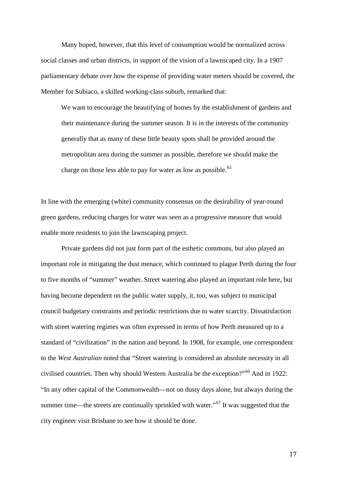Many hoped, however, that this level of consumption would be normalized across social classes and urban districts, in support of the vision of a lawnscaped city. In a 1907 parliamentary debate over how the expense of providing water meters should be covered, the Member for Subiaco, a skilled working-class suburb, remarked that:

We want to encourage the beautifying of homes by the establishment of gardens and their maintenance during the summer season. It is in the interests of the community generally that as many of these little beauty spots shall be provided around the metropolitan area during the summer as possible, therefore we should make the charge on those less able to pay for water as low as possible.<sup>[65](#page-32-15)</sup>

In line with the emerging (white) community consensus on the desirability of year-round green gardens, reducing charges for water was seen as a progressive measure that would enable more residents to join the lawnscaping project.

Private gardens did not just form part of the esthetic commons, but also played an important role in mitigating the dust menace, which continued to plague Perth during the four to five months of "summer" weather. Street watering also played an important role here, but having become dependent on the public water supply, it, too, was subject to municipal council budgetary constraints and periodic restrictions due to water scarcity. Dissatisfaction with street watering regimes was often expressed in terms of how Perth measured up to a standard of "civilization" in the nation and beyond. In 1908, for example, one correspondent to the *West Australian* noted that "Street watering is considered an absolute necessity in all civilised countries. Then why should Western Australia be the exception?"<sup>[66](#page-32-16)</sup> And in 1922: "In any other capital of the Commonwealth—not on dusty days alone, but always during the summer time—the streets are continually sprinkled with water."<sup>[67](#page-32-17)</sup> It was suggested that the city engineer visit Brisbane to see how it should be done.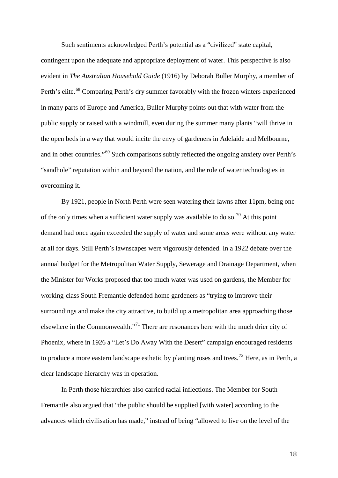Such sentiments acknowledged Perth's potential as a "civilized" state capital, contingent upon the adequate and appropriate deployment of water. This perspective is also evident in *The Australian Household Guide* (1916) by Deborah Buller Murphy, a member of Perth's elite.<sup>[68](#page-32-3)</sup> Comparing Perth's dry summer favorably with the frozen winters experienced in many parts of Europe and America, Buller Murphy points out that with water from the public supply or raised with a windmill, even during the summer many plants "will thrive in the open beds in a way that would incite the envy of gardeners in Adelaide and Melbourne, and in other countries."<sup>[69](#page-32-19)</sup> Such comparisons subtly reflected the ongoing anxiety over Perth's "sandhole" reputation within and beyond the nation, and the role of water technologies in overcoming it.

By 1921, people in North Perth were seen watering their lawns after 11pm, being one of the only times when a sufficient water supply was available to do so.<sup>[70](#page-32-6)</sup> At this point demand had once again exceeded the supply of water and some areas were without any water at all for days. Still Perth's lawnscapes were vigorously defended. In a 1922 debate over the annual budget for the Metropolitan Water Supply, Sewerage and Drainage Department, when the Minister for Works proposed that too much water was used on gardens, the Member for working-class South Fremantle defended home gardeners as "trying to improve their surroundings and make the city attractive, to build up a metropolitan area approaching those elsewhere in the Commonwealth."[71](#page-32-20) There are resonances here with the much drier city of Phoenix, where in 1926 a "Let's Do Away With the Desert" campaign encouraged residents to produce a more eastern landscape esthetic by planting roses and trees.<sup>[72](#page-32-7)</sup> Here, as in Perth, a clear landscape hierarchy was in operation.

In Perth those hierarchies also carried racial inflections. The Member for South Fremantle also argued that "the public should be supplied [with water] according to the advances which civilisation has made," instead of being "allowed to live on the level of the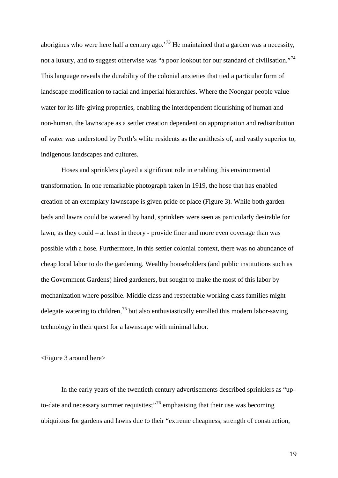aborigines who were here half a century ago.<sup>[73](#page-32-9)</sup> He maintained that a garden was a necessity, not a luxury, and to suggest otherwise was "a poor lookout for our standard of civilisation."<sup>[74](#page-32-10)</sup> This language reveals the durability of the colonial anxieties that tied a particular form of landscape modification to racial and imperial hierarchies. Where the Noongar people value water for its life-giving properties, enabling the interdependent flourishing of human and non-human, the lawnscape as a settler creation dependent on appropriation and redistribution of water was understood by Perth's white residents as the antithesis of, and vastly superior to, indigenous landscapes and cultures.

Hoses and sprinklers played a significant role in enabling this environmental transformation. In one remarkable photograph taken in 1919, the hose that has enabled creation of an exemplary lawnscape is given pride of place (Figure 3). While both garden beds and lawns could be watered by hand, sprinklers were seen as particularly desirable for lawn, as they could – at least in theory - provide finer and more even coverage than was possible with a hose. Furthermore, in this settler colonial context, there was no abundance of cheap local labor to do the gardening. Wealthy householders (and public institutions such as the Government Gardens) hired gardeners, but sought to make the most of this labor by mechanization where possible. Middle class and respectable working class families might delegate watering to children,<sup>[75](#page-32-0)</sup> but also enthusiastically enrolled this modern labor-saving technology in their quest for a lawnscape with minimal labor.

<Figure 3 around here>

In the early years of the twentieth century advertisements described sprinklers as "up-to-date and necessary summer requisites;"<sup>[76](#page-32-1)</sup> emphasising that their use was becoming ubiquitous for gardens and lawns due to their "extreme cheapness, strength of construction,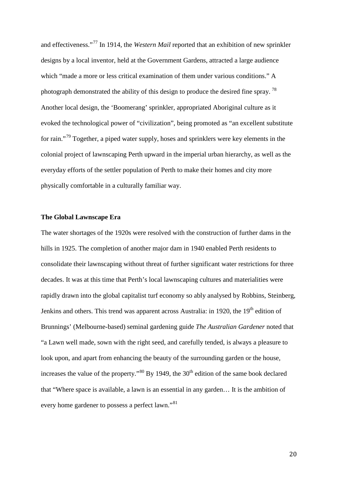and effectiveness."[77](#page-32-12) In 1914, the *Western Mail* reported that an exhibition of new sprinkler designs by a local inventor, held at the Government Gardens, attracted a large audience which "made a more or less critical examination of them under various conditions." A photograph demonstrated the ability of this design to produce the desired fine spray.<sup>[78](#page-32-13)</sup> Another local design, the 'Boomerang' sprinkler, appropriated Aboriginal culture as it evoked the technological power of "civilization", being promoted as "an excellent substitute for rain."<sup>[79](#page-32-2)</sup> Together, a piped water supply, hoses and sprinklers were key elements in the colonial project of lawnscaping Perth upward in the imperial urban hierarchy, as well as the everyday efforts of the settler population of Perth to make their homes and city more physically comfortable in a culturally familiar way.

#### **The Global Lawnscape Era**

The water shortages of the 1920s were resolved with the construction of further dams in the hills in 1925. The completion of another major dam in 1940 enabled Perth residents to consolidate their lawnscaping without threat of further significant water restrictions for three decades. It was at this time that Perth's local lawnscaping cultures and materialities were rapidly drawn into the global capitalist turf economy so ably analysed by Robbins, Steinberg, Jenkins and others. This trend was apparent across Australia: in 1920, the 19<sup>th</sup> edition of Brunnings' (Melbourne-based) seminal gardening guide *The Australian Gardener* noted that "a Lawn well made, sown with the right seed, and carefully tended, is always a pleasure to look upon, and apart from enhancing the beauty of the surrounding garden or the house, increases the value of the property."<sup>[80](#page-32-21)</sup> By 1949, the  $30<sup>th</sup>$  edition of the same book declared that "Where space is available, a lawn is an essential in any garden… It is the ambition of every home gardener to possess a perfect lawn."<sup>81</sup>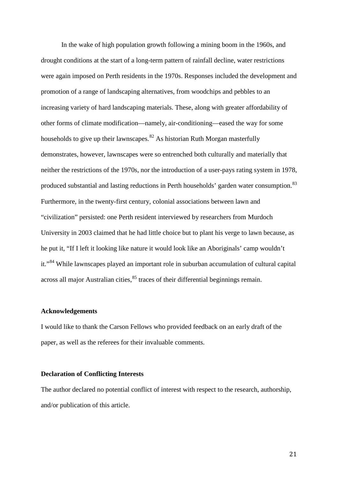In the wake of high population growth following a mining boom in the 1960s, and drought conditions at the start of a long-term pattern of rainfall decline, water restrictions were again imposed on Perth residents in the 1970s. Responses included the development and promotion of a range of landscaping alternatives, from woodchips and pebbles to an increasing variety of hard landscaping materials. These, along with greater affordability of other forms of climate modification—namely, air-conditioning—eased the way for some households to give up their lawnscapes.<sup>[82](#page-32-3)</sup> As historian Ruth Morgan masterfully demonstrates, however, lawnscapes were so entrenched both culturally and materially that neither the restrictions of the 1970s, nor the introduction of a user-pays rating system in 1978, produced substantial and lasting reductions in Perth households' garden water consumption.<sup>[83](#page-32-22)</sup> Furthermore, in the twenty-first century, colonial associations between lawn and "civilization" persisted: one Perth resident interviewed by researchers from Murdoch University in 2003 claimed that he had little choice but to plant his verge to lawn because, as he put it, "If I left it looking like nature it would look like an Aboriginals' camp wouldn't it."<sup>[84](#page-32-6)</sup> While lawnscapes played an important role in suburban accumulation of cultural capital across all major Australian cities,  $85$  traces of their differential beginnings remain.

#### **Acknowledgements**

I would like to thank the Carson Fellows who provided feedback on an early draft of the paper, as well as the referees for their invaluable comments.

# **Declaration of Conflicting Interests**

The author declared no potential conflict of interest with respect to the research, authorship, and/or publication of this article.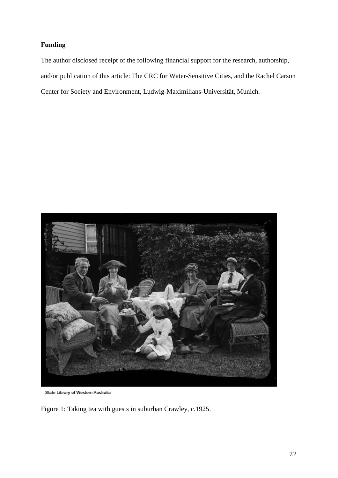# **Funding**

The author disclosed receipt of the following financial support for the research, authorship, and/or publication of this article: The CRC for Water-Sensitive Cities, and the Rachel Carson Center for Society and Environment, Ludwig-Maximilians-Universität, Munich.



State Library of Western Australia

Figure 1: Taking tea with guests in suburban Crawley, c.1925.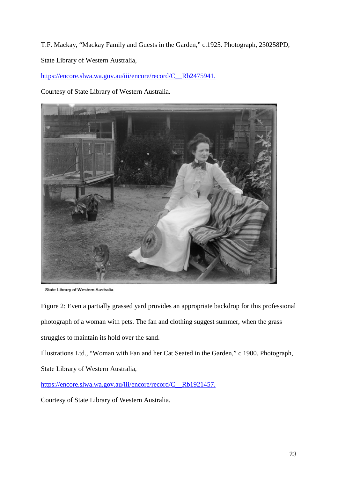T.F. Mackay, "Mackay Family and Guests in the Garden," c.1925. Photograph, 230258PD, State Library of Western Australia,

[https://encore.slwa.wa.gov.au/iii/encore/record/C\\_\\_Rb2475941.](https://encore.slwa.wa.gov.au/iii/encore/record/C__Rb2475941)

Courtesy of State Library of Western Australia.



State Library of Western Australia

Figure 2: Even a partially grassed yard provides an appropriate backdrop for this professional photograph of a woman with pets. The fan and clothing suggest summer, when the grass struggles to maintain its hold over the sand.

Illustrations Ltd., "Woman with Fan and her Cat Seated in the Garden," c.1900. Photograph, State Library of Western Australia,

[https://encore.slwa.wa.gov.au/iii/encore/record/C\\_\\_Rb1921457.](https://encore.slwa.wa.gov.au/iii/encore/record/C__Rb1921457)

Courtesy of State Library of Western Australia.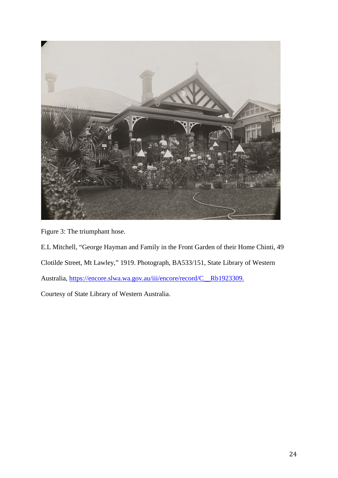

Figure 3: The triumphant hose.

E.L Mitchell, "George Hayman and Family in the Front Garden of their Home Chinti, 49 Clotilde Street, Mt Lawley," 1919. Photograph, BA533/151, State Library of Western Australia, [https://encore.slwa.wa.gov.au/iii/encore/record/C\\_\\_Rb1923309.](https://encore.slwa.wa.gov.au/iii/encore/record/C__Rb1923309) Courtesy of State Library of Western Australia.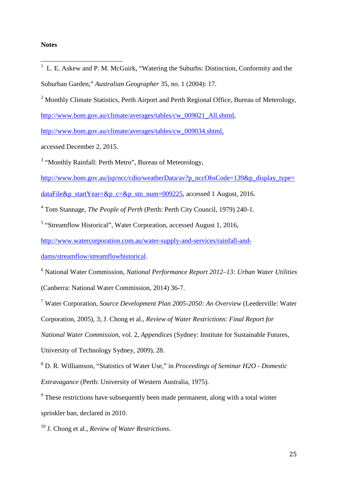#### **Notes**

- $1$  L. E. Askew and P. M. McGuirk, "Watering the Suburbs: Distinction, Conformity and the Suburban Garden," *Australian Geographer* 35, no. 1 (2004): 17.  $\overline{1}$
- <sup>2</sup> Monthly Climate Statistics, Perth Airport and Perth Regional Office, Bureau of Meterology,

[http://www.bom.gov.au/climate/averages/tables/cw\\_009021\\_All.shtml,](http://www.bom.gov.au/climate/averages/tables/cw_009021_All.shtml)

[http://www.bom.gov.au/climate/averages/tables/cw\\_009034.shtml,](http://www.bom.gov.au/climate/averages/tables/cw_009034.shtml)

accessed December 2, 2015.

<sup>3</sup> "Monthly Rainfall: Perth Metro", Bureau of Meteorology,

[http://www.bom.gov.au/jsp/ncc/cdio/weatherData/av?p\\_nccObsCode=139&p\\_display\\_type=](http://www.bom.gov.au/jsp/ncc/cdio/weatherData/av?p_nccObsCode=139&p_display_type=dataFile&p_startYear=&p_c=&p_stn_num=009225)

[dataFile&p\\_startYear=&p\\_c=&p\\_stn\\_num=009225,](http://www.bom.gov.au/jsp/ncc/cdio/weatherData/av?p_nccObsCode=139&p_display_type=dataFile&p_startYear=&p_c=&p_stn_num=009225) accessed 1 August, 2016.

<sup>4</sup> Tom Stannage, *The People of Perth* (Perth: Perth City Council, 1979) 240-1.

<sup>5</sup> "Streamflow Historical", Water Corporation, accessed August 1, 2016,

[http://www.watercorporation.com.au/water-supply-and-services/rainfall-and-](http://www.watercorporation.com.au/water-supply-and-services/rainfall-and-dams/streamflow/streamflowhistorical)

[dams/streamflow/streamflowhistorical.](http://www.watercorporation.com.au/water-supply-and-services/rainfall-and-dams/streamflow/streamflowhistorical)

<sup>6</sup> National Water Commission, *National Performance Report 2012–13: Urban Water Utilities* (Canberra: National Water Commission, 2014) 36-7.

<sup>7</sup> Water Corporation, *Source Development Plan 2005-2050: An Overview* (Leederville: Water Corporation, 2005), 3; J. Chong et al., *Review of Water Restrictions*: *Final Report for National Water Commission*, vol. 2, *Appendices* (Sydney: Institute for Sustainable Futures, University of Technology Sydney, 2009), 28.

<sup>8</sup> D. R. Williamson, "Statistics of Water Use," in *Proceedings of Seminar H2O - Domestic Extravagance* (Perth: University of Western Australia, 1975).

<sup>9</sup> These restrictions have subsequently been made permanent, along with a total winter sprinkler ban, declared in 2010.

<sup>10</sup> J. Chong et al., *Review of Water Restrictions*.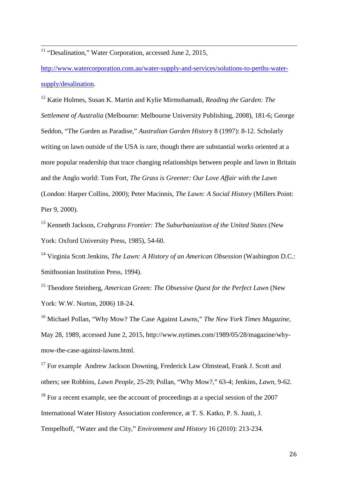$11$  "Desalination," Water Corporation, accessed June 2, 2015,  $\overline{1}$ 

<span id="page-25-0"></span>[http://www.watercorporation.com.au/water-supply-and-services/solutions-to-perths-water](http://www.watercorporation.com.au/water-supply-and-services/solutions-to-perths-water-supply/desalination)[supply/desalination.](http://www.watercorporation.com.au/water-supply-and-services/solutions-to-perths-water-supply/desalination)

<span id="page-25-1"></span><sup>12</sup> Katie Holmes, Susan K. Martin and Kylie Mirmohamadi, *Reading the Garden: The Settlement of Australia* (Melbourne: Melbourne University Publishing, 2008), 181-6; George Seddon, "The Garden as Paradise," *Australian Garden Histor*y 8 (1997): 8-12. Scholarly writing on lawn outside of the USA is rare, though there are substantial works oriented at a more popular readership that trace changing relationships between people and lawn in Britain and the Anglo world: Tom Fort, *The Grass is Greener: Our Love Affair with the Lawn* (London: Harper Collins, 2000); Peter Macinnis, *The Lawn: A Social History* (Millers Point: Pier 9, 2000).

<sup>13</sup> Kenneth Jackson, *Crabgrass Frontier: The Suburbanization of the United States* (New York: Oxford University Press, 1985), 54-60.

<sup>14</sup> Virginia Scott Jenkins, *The Lawn: A History of an American Obsession* (Washington D.C.: Smithsonian Institution Press, 1994).

<sup>15</sup> Theodore Steinberg, *American Green: The Obsessive Quest for the Perfect Lawn* (New York: W.W. Norton, 2006) 18-24.

<sup>16</sup> Michael Pollan, "Why Mow? The Case Against Lawns," *The New York Times Magazine*, May 28, 1989, accessed June 2, 2015, http://www.nytimes.com/1989/05/28/magazine/whymow-the-case-against-lawns.html.

<sup>17</sup> For example Andrew Jackson Downing, Frederick Law Olmstead, Frank J. Scott and others; see Robbins, *Lawn People*, 25-29; Pollan, "Why Mow?," 63-4; Jenkins, *Lawn*, 9-62. <sup>18</sup> For a recent example, see the account of proceedings at a special session of the 2007 International Water History Association conference, at T. S. Katko, P. S. Juuti, J. Tempelhoff, "Water and the City," *Environment and History* 16 (2010): 213-234.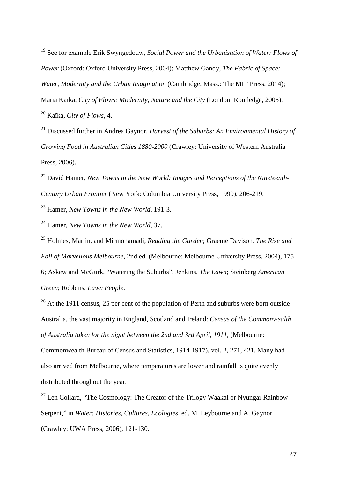<sup>19</sup> See for example Erik Swyngedouw, *Social Power and the Urbanisation of Water: Flows of Power* (Oxford: Oxford University Press, 2004); Matthew Gandy, *The Fabric of Space: Water, Modernity and the Urban Imagination* (Cambridge, Mass.: The MIT Press, 2014); Maria Kaïka, *City of Flows: Modernity, Nature and the City* (London: Routledge, 2005). <sup>20</sup> Kaïka, *City of Flows*, 4.  $\overline{1}$ 

<sup>21</sup> Discussed further in Andrea Gaynor, *Harvest of the Suburbs: An Environmental History of Growing Food in Australian Cities 1880-2000* (Crawley: University of Western Australia Press, 2006).

<span id="page-26-0"></span><sup>22</sup> David Hamer, *New Towns in the New World: Images and Perceptions of the Nineteenth-Century Urban Frontier* (New York: Columbia University Press, 1990), 206-219.

<span id="page-26-1"></span><sup>23</sup> Hamer, *New Towns in the New World*, 191-3.

<span id="page-26-2"></span><sup>24</sup> Hamer, *New Towns in the New World*, 37.

<sup>25</sup> Holmes, Martin, and Mirmohamadi, *Reading the Garden*; Graeme Davison, *The Rise and Fall of Marvellous Melbourne*, 2nd ed. (Melbourne: Melbourne University Press, 2004), 175- 6; Askew and McGurk, "Watering the Suburbs"; Jenkins, *The Lawn*; Steinberg *American Green*; Robbins, *Lawn People*.

<sup>26</sup> At the 1911 census, 25 per cent of the population of Perth and suburbs were born outside Australia, the vast majority in England, Scotland and Ireland: *Census of the Commonwealth of Australia taken for the night between the 2nd and 3rd April, 1911*, (Melbourne:

Commonwealth Bureau of Census and Statistics, 1914-1917), vol. 2, 271, 421. Many had also arrived from Melbourne, where temperatures are lower and rainfall is quite evenly distributed throughout the year.

<sup>27</sup> Len Collard, "The Cosmology: The Creator of the Trilogy Waakal or Nyungar Rainbow Serpent," in *Water: Histories, Cultures, Ecologies*, ed. M. Leybourne and A. Gaynor (Crawley: UWA Press, 2006), 121-130.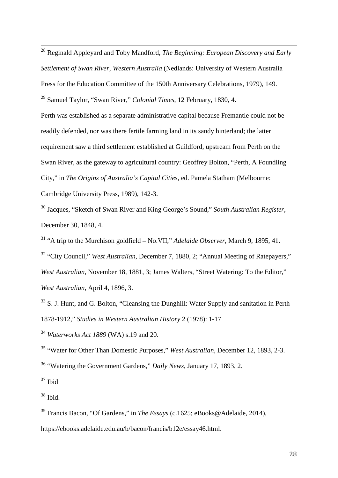<span id="page-27-5"></span><sup>28</sup> Reginald Appleyard and Toby Mandford, *The Beginning: European Discovery and Early Settlement of Swan River, Western Australia* (Nedlands: University of Western Australia Press for the Education Committee of the 150th Anniversary Celebrations, 1979), 149. <sup>29</sup> Samuel Taylor, "Swan River," *Colonial Times*, 12 February, 1830, 4.  $\overline{1}$ 

<span id="page-27-6"></span>Perth was established as a separate administrative capital because Fremantle could not be readily defended, nor was there fertile farming land in its sandy hinterland; the latter requirement saw a third settlement established at Guildford, upstream from Perth on the Swan River, as the gateway to agricultural country: Geoffrey Bolton, "Perth, A Foundling City," in *The Origins of Australia's Capital Cities,* ed. Pamela Statham (Melbourne: Cambridge University Press, 1989), 142-3.

<sup>30</sup> Jacques, "Sketch of Swan River and King George's Sound," *South Australian Register*, December 30, 1848, 4.

<sup>31</sup> "A trip to the Murchison goldfield – No.VII," *Adelaide Observer*, March 9, 1895, 41.

<span id="page-27-0"></span><sup>32</sup> "City Council," *West Australian*, December 7, 1880, 2; "Annual Meeting of Ratepayers," *West Australian*, November 18, 1881, 3; James Walters, "Street Watering: To the Editor," *West Australian*, April 4, 1896, 3.

<span id="page-27-1"></span> $33$  S. J. Hunt, and G. Bolton, "Cleansing the Dunghill: Water Supply and sanitation in Perth 1878-1912," *Studies in Western Australian History* 2 (1978): 1-17

<sup>34</sup> *Waterworks Act 1889* (WA) s.19 and 20.

<sup>35</sup> "Water for Other Than Domestic Purposes," *West Australian,* December 12, 1893, 2-3.

<span id="page-27-2"></span><sup>36</sup> "Watering the Government Gardens," *Daily News*, January 17, 1893, 2.

 $37$  Ibid

<span id="page-27-3"></span> $38$  Ibid.

<span id="page-27-4"></span><sup>39</sup> Francis Bacon, "Of Gardens," in *The Essays* (c.1625; eBooks@Adelaide, 2014), https://ebooks.adelaide.edu.au/b/bacon/francis/b12e/essay46.html.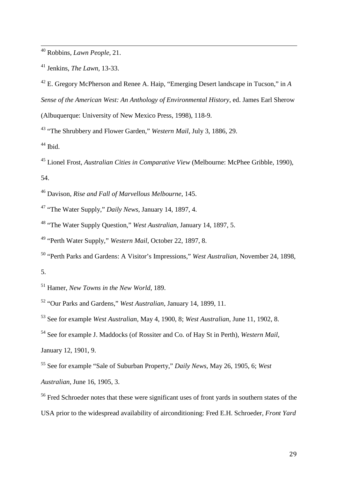Robbins, *Lawn People*, 21.  $\overline{1}$ 

Jenkins, *The Lawn,* 13-33.

 E. Gregory McPherson and Renee A. Haip, "Emerging Desert landscape in Tucson," in *A Sense of the American West: An Anthology of Environmental History*, ed. James Earl Sherow (Albuquerque: University of New Mexico Press*,* 1998), 118-9.

"The Shrubbery and Flower Garden," *Western Mail*, July 3, 1886, 29.

Ibid.

 Lionel Frost, *Australian Cities in Comparative View* (Melbourne: McPhee Gribble, 1990), 54.

Davison, *Rise and Fall of Marvellous Melbourne*, 145.

"The Water Supply," *Daily News*, January 14, 1897, 4.

<span id="page-28-0"></span>"The Water Supply Question," *West Australian*, January 14, 1897, 5.

"Perth Water Supply," *Western Mail*, October 22, 1897, 8.

<span id="page-28-1"></span> "Perth Parks and Gardens: A Visitor's Impressions," *West Australian*, November 24, 1898, 5.

<span id="page-28-2"></span>Hamer, *New Towns in the New World*, 189.

"Our Parks and Gardens," *West Australian*, January 14, 1899, 11.

<span id="page-28-3"></span>See for example *West Australian*, May 4, 1900, 8; *West Australian*, June 11, 1902, 8.

 See for example J. Maddocks (of Rossiter and Co. of Hay St in Perth), *Western Mail*, January 12, 1901, 9.

<span id="page-28-4"></span> See for example "Sale of Suburban Property," *Daily News*, May 26, 1905, 6; *West Australian*, June 16, 1905, 3.

<sup>&</sup>lt;sup>56</sup> Fred Schroeder notes that these were significant uses of front yards in southern states of the USA prior to the widespread availability of airconditioning: Fred E.H. Schroeder, *Front Yard*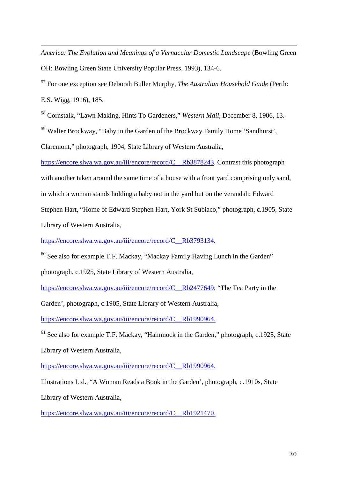<span id="page-29-1"></span>*America: The Evolution and Meanings of a Vernacular Domestic Landscape* (Bowling Green OH: Bowling Green State University Popular Press, 1993), 134-6. j

<sup>57</sup> For one exception see Deborah Buller Murphy, *The Australian Household Guide* (Perth: E.S. Wigg, 1916), 185.

<span id="page-29-2"></span><sup>58</sup> Cornstalk, "Lawn Making, Hints To Gardeners," *Western Mail*, December 8, 1906, 13.

<span id="page-29-3"></span><sup>59</sup> Walter Brockway, "Baby in the Garden of the Brockway Family Home 'Sandhurst',

Claremont," photograph, 1904, State Library of Western Australia,

[https://encore.slwa.wa.gov.au/iii/encore/record/C\\_\\_Rb3878243.](https://encore.slwa.wa.gov.au/iii/encore/record/C__Rb3878243) Contrast this photograph

with another taken around the same time of a house with a front yard comprising only sand,

in which a woman stands holding a baby not in the yard but on the verandah: Edward

Stephen Hart, "Home of Edward Stephen Hart, York St Subiaco," photograph, c.1905, State

Library of Western Australia,

[https://encore.slwa.wa.gov.au/iii/encore/record/C\\_\\_Rb3793134.](https://encore.slwa.wa.gov.au/iii/encore/record/C__Rb3793134)

<sup>60</sup> See also for example T.F. Mackay, "Mackay Family Having Lunch in the Garden"

photograph, c.1925, State Library of Western Australia,

[https://encore.slwa.wa.gov.au/iii/encore/record/C\\_\\_Rb2477649;](https://encore.slwa.wa.gov.au/iii/encore/record/C__Rb2477649) "The Tea Party in the

Garden', photograph, c.1905, State Library of Western Australia,

[https://encore.slwa.wa.gov.au/iii/encore/record/C\\_\\_Rb1990964.](https://encore.slwa.wa.gov.au/iii/encore/record/C__Rb1990964)

<sup>61</sup> See also for example T.F. Mackay, "Hammock in the Garden," photograph, c.1925, State

Library of Western Australia,

[https://encore.slwa.wa.gov.au/iii/encore/record/C\\_\\_Rb1990964.](https://encore.slwa.wa.gov.au/iii/encore/record/C__Rb1990964)

Illustrations Ltd., "A Woman Reads a Book in the Garden', photograph, c.1910s, State

<span id="page-29-0"></span>Library of Western Australia,

[https://encore.slwa.wa.gov.au/iii/encore/record/C\\_\\_Rb1921470.](https://encore.slwa.wa.gov.au/iii/encore/record/C__Rb1921470)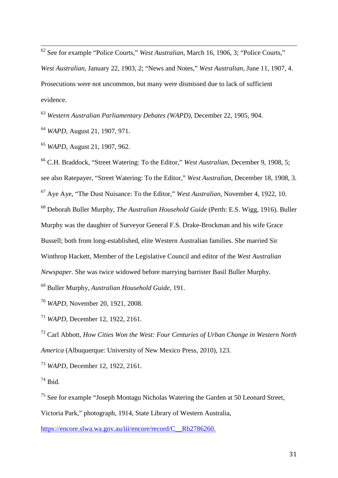<sup>62</sup> See for example "Police Courts," *West Australian*, March 16, 1906, 3; "Police Courts," *West Australian*, January 22, 1903, 2; "News and Notes," *West Australian*, June 11, 1907, 4. Prosecutions were not uncommon, but many were dismissed due to lack of sufficient evidence.  $\overline{\phantom{a}}$ 

<sup>63</sup> *Western Australian Parliamentary Debates (WAPD)*, December 22, 1905, 904.

<sup>64</sup> *WAPD*, August 21, 1907, 971.

<sup>65</sup> *WAPD*, August 21, 1907, 962.

<span id="page-30-1"></span><span id="page-30-0"></span><sup>66</sup> C.H. Braddock, "Street Watering: To the Editor," *West Australian,* December 9, 1908, 5; see also Ratepayer, "Street Watering: To the Editor," *West Australian,* December 18, 1908, 3. <sup>67</sup> Aye Aye, "The Dust Nuisance: To the Editor," *West Australian,* November 4, 1922, 10. <sup>68</sup> Deborah Buller Murphy, *The Australian Household Guide* (Perth: E.S. Wigg, 1916). Buller Murphy was the daughter of Surveyor General F.S. Drake-Brockman and his wife Grace Bussell; both from long-established, elite Western Australian families. She married Sir Winthrop Hackett, Member of the Legislative Council and editor of the *West Australian Newspaper*. She was twice widowed before marrying barrister Basil Buller Murphy.

<span id="page-30-3"></span><span id="page-30-2"></span><sup>69</sup> Buller Murphy, *Australian Household Guide*, 191.

<sup>70</sup> *WAPD*, November 20, 1921, 2008.

<sup>71</sup> *WAPD*, December 12, 1922, 2161.

<sup>72</sup> Carl Abbott, *How Cities Won the West: Four Centuries of Urban Change in Western North America* (Albuquerque: University of New Mexico Press, 2010), 123.

<sup>73</sup> *WAPD*, December 12, 1922, 2161.

<sup>74</sup> Ibid*.*

<sup>75</sup> See for example "Joseph Montagu Nicholas Watering the Garden at 50 Leonard Street, Victoria Park," photograph, 1914, State Library of Western Australia,

[https://encore.slwa.wa.gov.au/iii/encore/record/C\\_\\_Rb2786260.](https://encore.slwa.wa.gov.au/iii/encore/record/C__Rb2786260)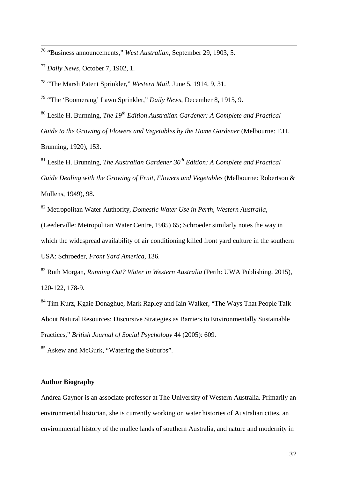<sup>76</sup> "Business announcements," *West Australian,* September 29, 1903, 5. 1

<sup>77</sup> *Daily News*, October 7, 1902, 1.

<sup>78</sup> "The Marsh Patent Sprinkler," *Western Mail*, June 5, 1914, 9, 31.

<sup>79</sup> "The 'Boomerang' Lawn Sprinkler," *Daily News*, December 8, 1915, 9.

<sup>80</sup> Leslie H. Burnning, *The 19th Edition Australian Gardener: A Complete and Practical Guide to the Growing of Flowers and Vegetables by the Home Gardener* (Melbourne: F.H. Brunning, 1920), 153.

<sup>81</sup> Leslie H. Brunning, *The Australian Gardener 30th Edition: A Complete and Practical Guide Dealing with the Growing of Fruit, Flowers and Vegetables* (Melbourne: Robertson & Mullens, 1949), 98.

<sup>82</sup> Metropolitan Water Authority, *Domestic Water Use in Perth, Western Australia*,

(Leederville: Metropolitan Water Centre, 1985) 65; Schroeder similarly notes the way in which the widespread availability of air conditioning killed front yard culture in the southern USA: Schroeder, *Front Yard America*, 136.

<sup>83</sup> Ruth Morgan, *Running Out? Water in Western Australia* (Perth: UWA Publishing, 2015), 120-122, 178-9.

<span id="page-31-0"></span><sup>84</sup> Tim Kurz, Kgaie Donaghue, Mark Rapley and Iain Walker, "The Ways That People Talk About Natural Resources: Discursive Strategies as Barriers to Environmentally Sustainable Practices," *British Journal of Social Psychology* 44 (2005): 609.

<sup>85</sup> Askew and McGurk, "Watering the Suburbs".

# **Author Biography**

Andrea Gaynor is an associate professor at The University of Western Australia. Primarily an environmental historian, she is currently working on water histories of Australian cities, an environmental history of the mallee lands of southern Australia, and nature and modernity in